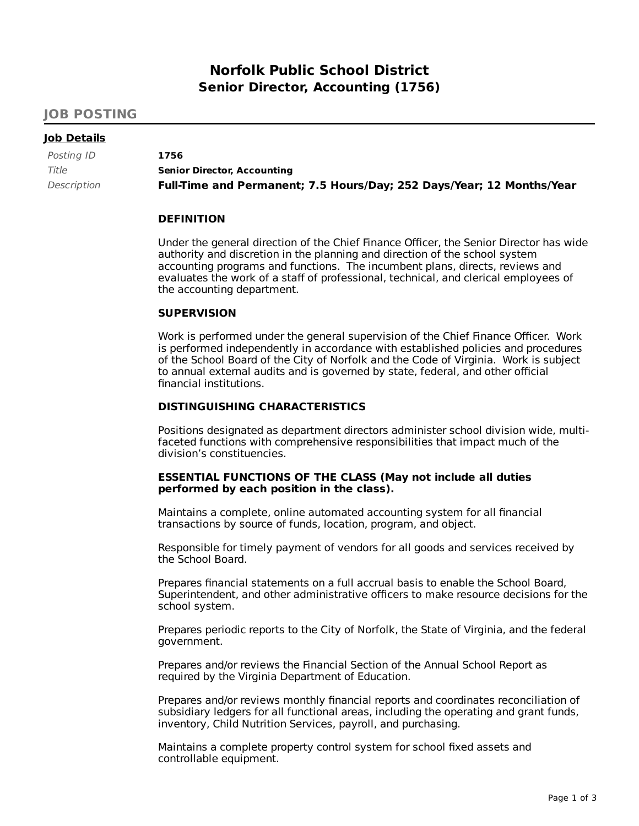# **Norfolk Public School District Senior Director, Accounting (1756)**

# **JOB POSTING**

# **Job Details**

| Posting ID  | 1756                                                                  |
|-------------|-----------------------------------------------------------------------|
| Title       | <b>Senior Director, Accounting</b>                                    |
| Description | Full-Time and Permanent; 7.5 Hours/Day; 252 Days/Year; 12 Months/Year |

## **DEFINITION**

Under the general direction of the Chief Finance Officer, the Senior Director has wide authority and discretion in the planning and direction of the school system accounting programs and functions. The incumbent plans, directs, reviews and evaluates the work of a staff of professional, technical, and clerical employees of the accounting department.

## **SUPERVISION**

Work is performed under the general supervision of the Chief Finance Officer. Work is performed independently in accordance with established policies and procedures of the School Board of the City of Norfolk and the Code of Virginia. Work is subject to annual external audits and is governed by state, federal, and other official financial institutions.

# **DISTINGUISHING CHARACTERISTICS**

Positions designated as department directors administer school division wide, multifaceted functions with comprehensive responsibilities that impact much of the division's constituencies.

# **ESSENTIAL FUNCTIONS OF THE CLASS (May not include all duties performed by each position in the class).**

Maintains a complete, online automated accounting system for all financial transactions by source of funds, location, program, and object.

Responsible for timely payment of vendors for all goods and services received by the School Board.

Prepares financial statements on a full accrual basis to enable the School Board, Superintendent, and other administrative officers to make resource decisions for the school system.

Prepares periodic reports to the City of Norfolk, the State of Virginia, and the federal government.

Prepares and/or reviews the Financial Section of the Annual School Report as required by the Virginia Department of Education.

Prepares and/or reviews monthly financial reports and coordinates reconciliation of subsidiary ledgers for all functional areas, including the operating and grant funds, inventory, Child Nutrition Services, payroll, and purchasing.

Maintains a complete property control system for school fixed assets and controllable equipment.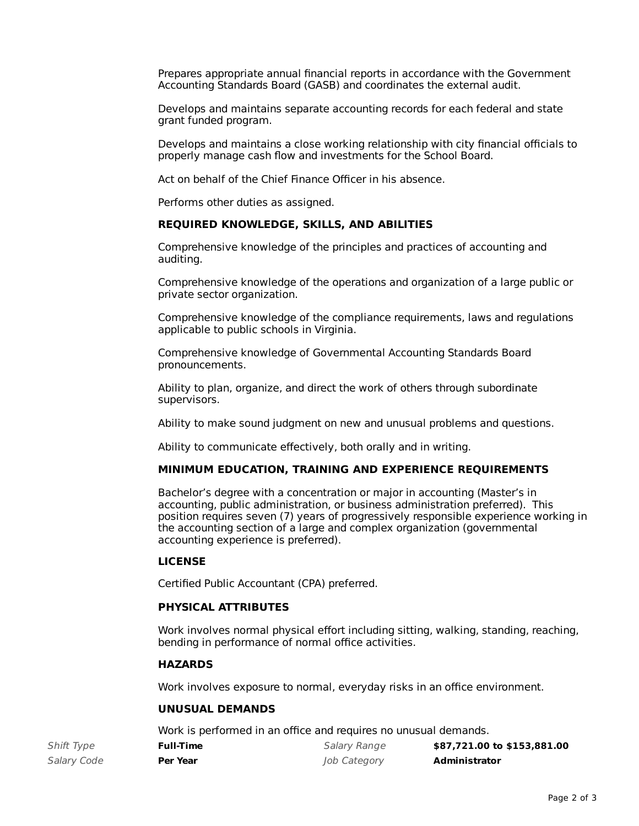Prepares appropriate annual financial reports in accordance with the Government Accounting Standards Board (GASB) and coordinates the external audit.

Develops and maintains separate accounting records for each federal and state grant funded program.

Develops and maintains a close working relationship with city financial officials to properly manage cash flow and investments for the School Board.

Act on behalf of the Chief Finance Officer in his absence.

Performs other duties as assigned.

# **REQUIRED KNOWLEDGE, SKILLS, AND ABILITIES**

Comprehensive knowledge of the principles and practices of accounting and auditing.

Comprehensive knowledge of the operations and organization of a large public or private sector organization.

Comprehensive knowledge of the compliance requirements, laws and regulations applicable to public schools in Virginia.

Comprehensive knowledge of Governmental Accounting Standards Board pronouncements.

Ability to plan, organize, and direct the work of others through subordinate supervisors.

Ability to make sound judgment on new and unusual problems and questions.

Ability to communicate effectively, both orally and in writing.

## **MINIMUM EDUCATION, TRAINING AND EXPERIENCE REQUIREMENTS**

Bachelor's degree with a concentration or major in accounting (Master's in accounting, public administration, or business administration preferred). This position requires seven (7) years of progressively responsible experience working in the accounting section of a large and complex organization (governmental accounting experience is preferred).

## **LICENSE**

Certified Public Accountant (CPA) preferred.

## **PHYSICAL ATTRIBUTES**

Work involves normal physical effort including sitting, walking, standing, reaching, bending in performance of normal office activities.

## **HAZARDS**

Work involves exposure to normal, everyday risks in an office environment.

# **UNUSUAL DEMANDS**

Work is performed in an office and requires no unusual demands.

| Shift Type  | <b>Full-Time</b> | Salary Range | \$87,721.00 to \$153,881.00 |
|-------------|------------------|--------------|-----------------------------|
| Salary Code | Per Year         | Job Category | Administrator               |